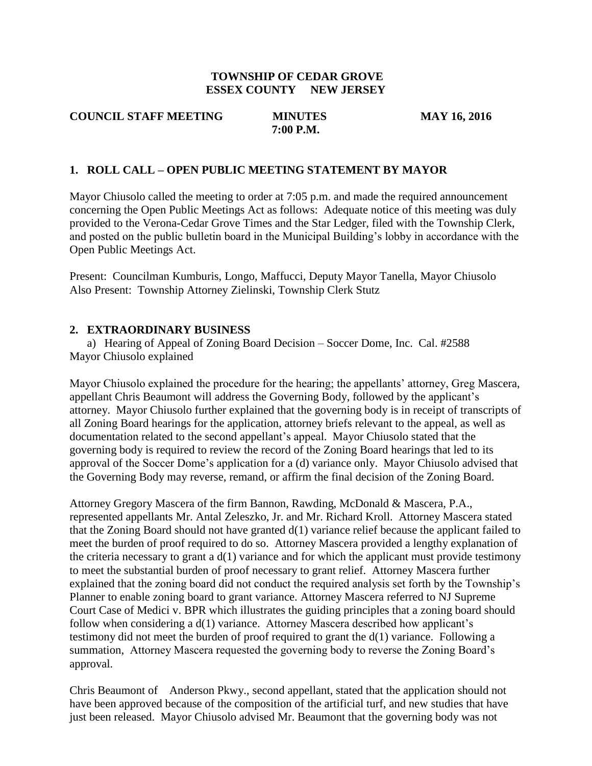## **TOWNSHIP OF CEDAR GROVE ESSEX COUNTY NEW JERSEY**

#### **COUNCIL STAFF MEETING MINUTES MAY 16, 2016 7:00 P.M.**

## **1. ROLL CALL – OPEN PUBLIC MEETING STATEMENT BY MAYOR**

Mayor Chiusolo called the meeting to order at 7:05 p.m. and made the required announcement concerning the Open Public Meetings Act as follows: Adequate notice of this meeting was duly provided to the Verona-Cedar Grove Times and the Star Ledger, filed with the Township Clerk, and posted on the public bulletin board in the Municipal Building's lobby in accordance with the Open Public Meetings Act.

Present: Councilman Kumburis, Longo, Maffucci, Deputy Mayor Tanella, Mayor Chiusolo Also Present: Township Attorney Zielinski, Township Clerk Stutz

### **2. EXTRAORDINARY BUSINESS**

a) Hearing of Appeal of Zoning Board Decision – Soccer Dome, Inc. Cal. #2588 Mayor Chiusolo explained

Mayor Chiusolo explained the procedure for the hearing; the appellants' attorney, Greg Mascera, appellant Chris Beaumont will address the Governing Body, followed by the applicant's attorney. Mayor Chiusolo further explained that the governing body is in receipt of transcripts of all Zoning Board hearings for the application, attorney briefs relevant to the appeal, as well as documentation related to the second appellant's appeal. Mayor Chiusolo stated that the governing body is required to review the record of the Zoning Board hearings that led to its approval of the Soccer Dome's application for a (d) variance only. Mayor Chiusolo advised that the Governing Body may reverse, remand, or affirm the final decision of the Zoning Board.

Attorney Gregory Mascera of the firm Bannon, Rawding, McDonald & Mascera, P.A., represented appellants Mr. Antal Zeleszko, Jr. and Mr. Richard Kroll. Attorney Mascera stated that the Zoning Board should not have granted d(1) variance relief because the applicant failed to meet the burden of proof required to do so. Attorney Mascera provided a lengthy explanation of the criteria necessary to grant a  $d(1)$  variance and for which the applicant must provide testimony to meet the substantial burden of proof necessary to grant relief. Attorney Mascera further explained that the zoning board did not conduct the required analysis set forth by the Township's Planner to enable zoning board to grant variance. Attorney Mascera referred to NJ Supreme Court Case of Medici v. BPR which illustrates the guiding principles that a zoning board should follow when considering a d(1) variance. Attorney Mascera described how applicant's testimony did not meet the burden of proof required to grant the d(1) variance. Following a summation, Attorney Mascera requested the governing body to reverse the Zoning Board's approval.

Chris Beaumont of Anderson Pkwy., second appellant, stated that the application should not have been approved because of the composition of the artificial turf, and new studies that have just been released. Mayor Chiusolo advised Mr. Beaumont that the governing body was not